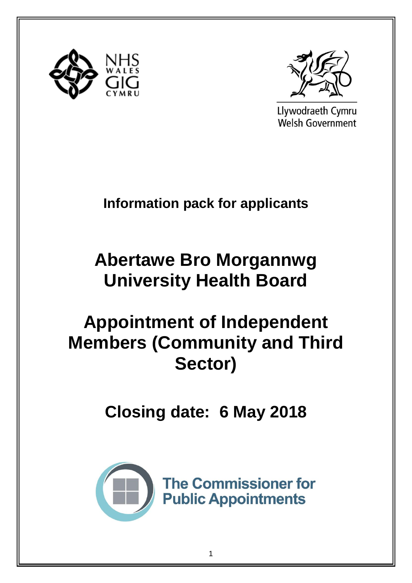



Llywodraeth Cymru **Welsh Government** 

## **Information pack for applicants**

# **Abertawe Bro Morgannwg University Health Board**

## **Appointment of Independent Members (Community and Third Sector)**

**Closing date: 6 May 2018**



**The Commissioner for Public Appointments**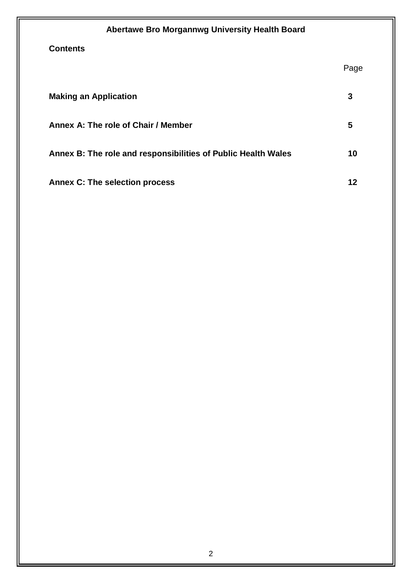| Abertawe Bro Morgannwg University Health Board                |      |
|---------------------------------------------------------------|------|
| <b>Contents</b>                                               |      |
|                                                               | Page |
| <b>Making an Application</b>                                  | 3    |
| Annex A: The role of Chair / Member                           | 5    |
| Annex B: The role and responsibilities of Public Health Wales | 10   |
| <b>Annex C: The selection process</b>                         | 12   |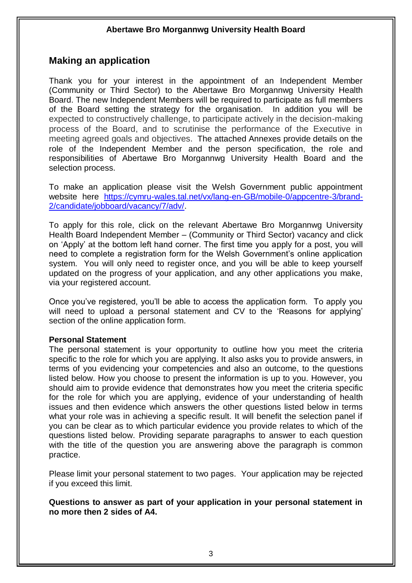## **Making an application**

Thank you for your interest in the appointment of an Independent Member (Community or Third Sector) to the Abertawe Bro Morgannwg University Health Board. The new Independent Members will be required to participate as full members of the Board setting the strategy for the organisation. In addition you will be expected to constructively challenge, to participate actively in the decision-making process of the Board, and to scrutinise the performance of the Executive in meeting agreed goals and objectives. The attached Annexes provide details on the role of the Independent Member and the person specification, the role and responsibilities of Abertawe Bro Morgannwg University Health Board and the selection process.

To make an application please visit the Welsh Government public appointment website here [https://cymru-wales.tal.net/vx/lang-en-GB/mobile-0/appcentre-3/brand-](https://cymru-wales.tal.net/vx/lang-en-GB/mobile-0/appcentre-3/brand-2/candidate/jobboard/vacancy/7/adv/)[2/candidate/jobboard/vacancy/7/adv/.](https://cymru-wales.tal.net/vx/lang-en-GB/mobile-0/appcentre-3/brand-2/candidate/jobboard/vacancy/7/adv/)

To apply for this role, click on the relevant Abertawe Bro Morgannwg University Health Board Independent Member – (Community or Third Sector) vacancy and click on 'Apply' at the bottom left hand corner. The first time you apply for a post, you will need to complete a registration form for the Welsh Government's online application system. You will only need to register once, and you will be able to keep yourself updated on the progress of your application, and any other applications you make, via your registered account.

Once you've registered, you'll be able to access the application form. To apply you will need to upload a personal statement and CV to the 'Reasons for applying' section of the online application form.

#### **Personal Statement**

The personal statement is your opportunity to outline how you meet the criteria specific to the role for which you are applying. It also asks you to provide answers, in terms of you evidencing your competencies and also an outcome, to the questions listed below. How you choose to present the information is up to you. However, you should aim to provide evidence that demonstrates how you meet the criteria specific for the role for which you are applying, evidence of your understanding of health issues and then evidence which answers the other questions listed below in terms what your role was in achieving a specific result. It will benefit the selection panel if you can be clear as to which particular evidence you provide relates to which of the questions listed below. Providing separate paragraphs to answer to each question with the title of the question you are answering above the paragraph is common practice.

Please limit your personal statement to two pages. Your application may be rejected if you exceed this limit.

**Questions to answer as part of your application in your personal statement in no more then 2 sides of A4.**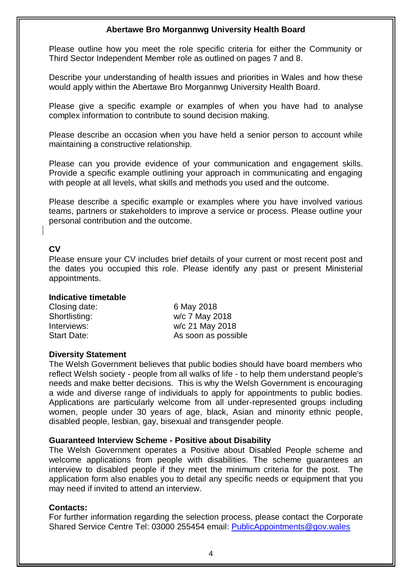Please outline how you meet the role specific criteria for either the Community or Third Sector Independent Member role as outlined on pages 7 and 8.

Describe your understanding of health issues and priorities in Wales and how these would apply within the Abertawe Bro Morgannwg University Health Board.

Please give a specific example or examples of when you have had to analyse complex information to contribute to sound decision making.

Please describe an occasion when you have held a senior person to account while maintaining a constructive relationship.

Please can you provide evidence of your communication and engagement skills. Provide a specific example outlining your approach in communicating and engaging with people at all levels, what skills and methods you used and the outcome.

Please describe a specific example or examples where you have involved various teams, partners or stakeholders to improve a service or process. Please outline your personal contribution and the outcome.

#### **CV**

Please ensure your CV includes brief details of your current or most recent post and the dates you occupied this role. Please identify any past or present Ministerial appointments.

#### **Indicative timetable**

| Closing date:      | 6 May 2018          |
|--------------------|---------------------|
| Shortlisting:      | w/c 7 May 2018      |
| Interviews:        | w/c 21 May 2018     |
| <b>Start Date:</b> | As soon as possible |

#### **Diversity Statement**

The Welsh Government believes that public bodies should have board members who reflect Welsh society - people from all walks of life - to help them understand people's needs and make better decisions. This is why the Welsh Government is encouraging a wide and diverse range of individuals to apply for appointments to public bodies. Applications are particularly welcome from all under-represented groups including women, people under 30 years of age, black, Asian and minority ethnic people, disabled people, lesbian, gay, bisexual and transgender people.

#### **Guaranteed Interview Scheme - Positive about Disability**

The Welsh Government operates a Positive about Disabled People scheme and welcome applications from people with disabilities. The scheme guarantees an interview to disabled people if they meet the minimum criteria for the post. The application form also enables you to detail any specific needs or equipment that you may need if invited to attend an interview.

#### **Contacts:**

For further information regarding the selection process, please contact the Corporate Shared Service Centre Tel: 03000 255454 email: [PublicAppointments@gov.wales](mailto:PublicAppointments@gov.wales)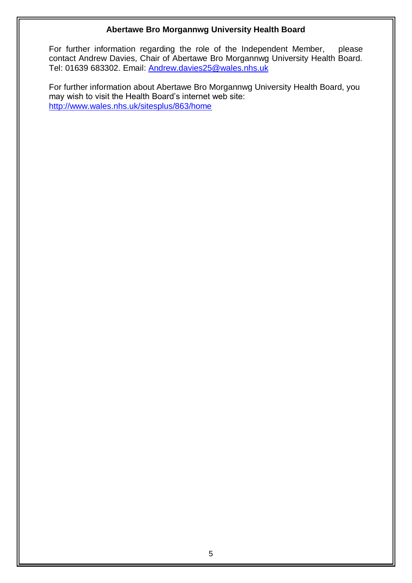For further information regarding the role of the Independent Member, please contact Andrew Davies, Chair of Abertawe Bro Morgannwg University Health Board. Tel: 01639 683302. Email: [Andrew.davies25@wales.nhs.uk](mailto:Andrew.davies25@wales.nhs.uk)

For further information about Abertawe Bro Morgannwg University Health Board, you may wish to visit the Health Board's internet web site: <http://www.wales.nhs.uk/sitesplus/863/home>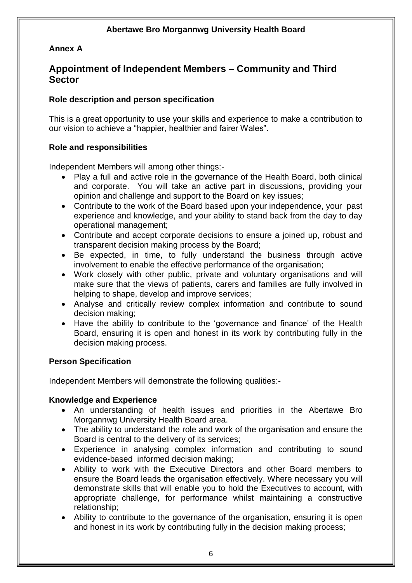## **Annex A**

## **Appointment of Independent Members – Community and Third Sector**

## **Role description and person specification**

This is a great opportunity to use your skills and experience to make a contribution to our vision to achieve a "happier, healthier and fairer Wales".

#### **Role and responsibilities**

Independent Members will among other things:-

- Play a full and active role in the governance of the Health Board, both clinical and corporate. You will take an active part in discussions, providing your opinion and challenge and support to the Board on key issues;
- Contribute to the work of the Board based upon your independence, your past experience and knowledge, and your ability to stand back from the day to day operational management;
- Contribute and accept corporate decisions to ensure a joined up, robust and transparent decision making process by the Board;
- Be expected, in time, to fully understand the business through active involvement to enable the effective performance of the organisation;
- Work closely with other public, private and voluntary organisations and will make sure that the views of patients, carers and families are fully involved in helping to shape, develop and improve services;
- Analyse and critically review complex information and contribute to sound decision making;
- Have the ability to contribute to the 'governance and finance' of the Health Board, ensuring it is open and honest in its work by contributing fully in the decision making process.

## **Person Specification**

Independent Members will demonstrate the following qualities:-

## **Knowledge and Experience**

- An understanding of health issues and priorities in the Abertawe Bro Morgannwg University Health Board area.
- The ability to understand the role and work of the organisation and ensure the Board is central to the delivery of its services;
- Experience in analysing complex information and contributing to sound evidence-based informed decision making;
- Ability to work with the Executive Directors and other Board members to ensure the Board leads the organisation effectively. Where necessary you will demonstrate skills that will enable you to hold the Executives to account, with appropriate challenge, for performance whilst maintaining a constructive relationship;
- Ability to contribute to the governance of the organisation, ensuring it is open and honest in its work by contributing fully in the decision making process;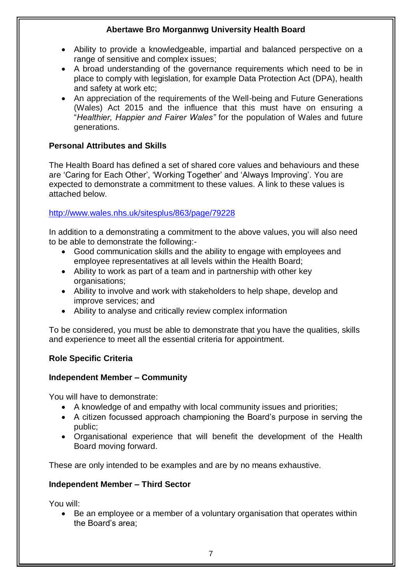- Ability to provide a knowledgeable, impartial and balanced perspective on a range of sensitive and complex issues;
- A broad understanding of the governance requirements which need to be in place to comply with legislation, for example Data Protection Act (DPA), health and safety at work etc;
- An appreciation of the requirements of the Well-being and Future Generations (Wales) Act 2015 and the influence that this must have on ensuring a "*Healthier, Happier and Fairer Wales"* for the population of Wales and future generations.

## **Personal Attributes and Skills**

The Health Board has defined a set of shared core values and behaviours and these are 'Caring for Each Other', 'Working Together' and 'Always Improving'. You are expected to demonstrate a commitment to these values. A link to these values is attached below.

## <http://www.wales.nhs.uk/sitesplus/863/page/79228>

In addition to a demonstrating a commitment to the above values, you will also need to be able to demonstrate the following:-

- Good communication skills and the ability to engage with employees and employee representatives at all levels within the Health Board;
- Ability to work as part of a team and in partnership with other key organisations;
- Ability to involve and work with stakeholders to help shape, develop and improve services; and
- Ability to analyse and critically review complex information

To be considered, you must be able to demonstrate that you have the qualities, skills and experience to meet all the essential criteria for appointment.

## **Role Specific Criteria**

## **Independent Member – Community**

You will have to demonstrate:

- A knowledge of and empathy with local community issues and priorities;
- A citizen focussed approach championing the Board's purpose in serving the public;
- Organisational experience that will benefit the development of the Health Board moving forward.

These are only intended to be examples and are by no means exhaustive.

## **Independent Member – Third Sector**

You will:

 Be an employee or a member of a voluntary organisation that operates within the Board's area;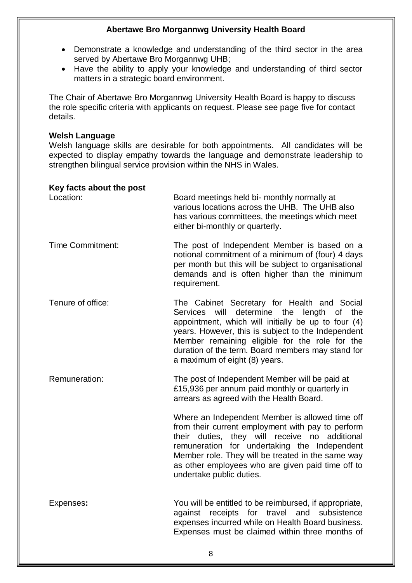- Demonstrate a knowledge and understanding of the third sector in the area served by Abertawe Bro Morgannwg UHB;
- Have the ability to apply your knowledge and understanding of third sector matters in a strategic board environment.

The Chair of Abertawe Bro Morgannwg University Health Board is happy to discuss the role specific criteria with applicants on request. Please see page five for contact details.

#### **Welsh Language**

Welsh language skills are desirable for both appointments. All candidates will be expected to display empathy towards the language and demonstrate leadership to strengthen bilingual service provision within the NHS in Wales.

#### **Key facts about the post**

| Location:               | Board meetings held bi- monthly normally at<br>various locations across the UHB. The UHB also<br>has various committees, the meetings which meet<br>either bi-monthly or quarterly.                                                                                                                                                                       |
|-------------------------|-----------------------------------------------------------------------------------------------------------------------------------------------------------------------------------------------------------------------------------------------------------------------------------------------------------------------------------------------------------|
| <b>Time Commitment:</b> | The post of Independent Member is based on a<br>notional commitment of a minimum of (four) 4 days<br>per month but this will be subject to organisational<br>demands and is often higher than the minimum<br>requirement.                                                                                                                                 |
| Tenure of office:       | The Cabinet Secretary for Health and Social<br>will<br>determine the<br>length<br>of the<br>Services<br>appointment, which will initially be up to four (4)<br>years. However, this is subject to the Independent<br>Member remaining eligible for the role for the<br>duration of the term. Board members may stand for<br>a maximum of eight (8) years. |
| Remuneration:           | The post of Independent Member will be paid at<br>£15,936 per annum paid monthly or quarterly in<br>arrears as agreed with the Health Board.                                                                                                                                                                                                              |
|                         | Where an Independent Member is allowed time off<br>from their current employment with pay to perform<br>their duties, they will receive no additional<br>remuneration for undertaking the Independent<br>Member role. They will be treated in the same way<br>as other employees who are given paid time off to<br>undertake public duties.               |
| Expenses:               | You will be entitled to be reimbursed, if appropriate,<br>receipts<br>travel<br>against<br>for<br>and<br>subsistence<br>expenses incurred while on Health Board business.<br>Expenses must be claimed within three months of                                                                                                                              |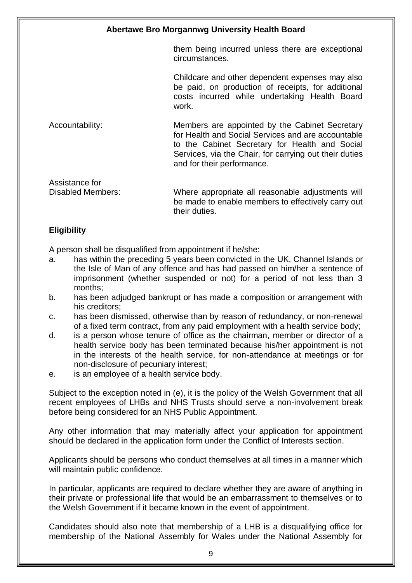them being incurred unless there are exceptional circumstances.

Childcare and other dependent expenses may also be paid, on production of receipts, for additional costs incurred while undertaking Health Board work.

Accountability: Members are appointed by the Cabinet Secretary for Health and Social Services and are accountable to the Cabinet Secretary for Health and Social Services, via the Chair, for carrying out their duties and for their performance.

Assistance for Disabled Members: Where appropriate all reasonable adjustments will be made to enable members to effectively carry out their duties.

## **Eligibility**

A person shall be disqualified from appointment if he/she:

- a. has within the preceding 5 years been convicted in the UK, Channel Islands or the Isle of Man of any offence and has had passed on him/her a sentence of imprisonment (whether suspended or not) for a period of not less than 3 months;
- b. has been adjudged bankrupt or has made a composition or arrangement with his creditors;
- c. has been dismissed, otherwise than by reason of redundancy, or non-renewal of a fixed term contract, from any paid employment with a health service body;
- d. is a person whose tenure of office as the chairman, member or director of a health service body has been terminated because his/her appointment is not in the interests of the health service, for non-attendance at meetings or for non-disclosure of pecuniary interest;
- e. is an employee of a health service body.

Subject to the exception noted in (e), it is the policy of the Welsh Government that all recent employees of LHBs and NHS Trusts should serve a non-involvement break before being considered for an NHS Public Appointment.

Any other information that may materially affect your application for appointment should be declared in the application form under the Conflict of Interests section.

Applicants should be persons who conduct themselves at all times in a manner which will maintain public confidence.

In particular, applicants are required to declare whether they are aware of anything in their private or professional life that would be an embarrassment to themselves or to the Welsh Government if it became known in the event of appointment.

Candidates should also note that membership of a LHB is a disqualifying office for membership of the National Assembly for Wales under the National Assembly for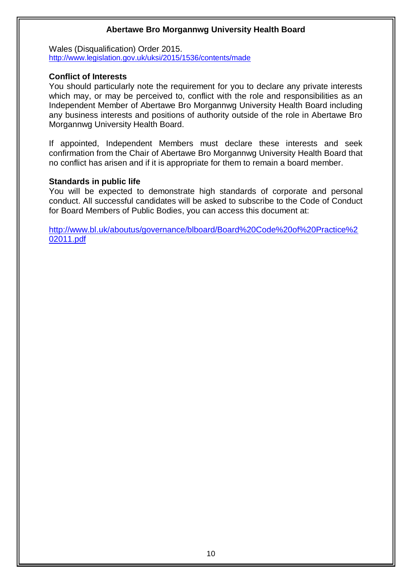Wales (Disqualification) Order 2015. <http://www.legislation.gov.uk/uksi/2015/1536/contents/made>

## **Conflict of Interests**

You should particularly note the requirement for you to declare any private interests which may, or may be perceived to, conflict with the role and responsibilities as an Independent Member of Abertawe Bro Morgannwg University Health Board including any business interests and positions of authority outside of the role in Abertawe Bro Morgannwg University Health Board.

If appointed, Independent Members must declare these interests and seek confirmation from the Chair of Abertawe Bro Morgannwg University Health Board that no conflict has arisen and if it is appropriate for them to remain a board member.

### **Standards in public life**

You will be expected to demonstrate high standards of corporate and personal conduct. All successful candidates will be asked to subscribe to the Code of Conduct for Board Members of Public Bodies, you can access this document at:

[http://www.bl.uk/aboutus/governance/blboard/Board%20Code%20of%20Practice%2](http://www.bl.uk/aboutus/governance/blboard/Board%20Code%20of%20Practice%202011.pdf) [02011.pdf](http://www.bl.uk/aboutus/governance/blboard/Board%20Code%20of%20Practice%202011.pdf)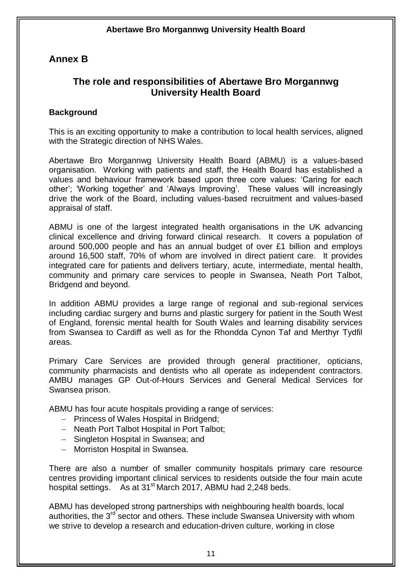## **Annex B**

## **The role and responsibilities of Abertawe Bro Morgannwg University Health Board**

## **Background**

This is an exciting opportunity to make a contribution to local health services, aligned with the Strategic direction of NHS Wales.

Abertawe Bro Morgannwg University Health Board (ABMU) is a values-based organisation. Working with patients and staff, the Health Board has established a values and behaviour framework based upon three core values: 'Caring for each other'; 'Working together' and 'Always Improving'. These values will increasingly drive the work of the Board, including values-based recruitment and values-based appraisal of staff.

ABMU is one of the largest integrated health organisations in the UK advancing clinical excellence and driving forward clinical research. It covers a population of around 500,000 people and has an annual budget of over £1 billion and employs around 16,500 staff, 70% of whom are involved in direct patient care. It provides integrated care for patients and delivers tertiary, acute, intermediate, mental health, community and primary care services to people in Swansea, Neath Port Talbot, Bridgend and beyond.

In addition ABMU provides a large range of regional and sub-regional services including cardiac surgery and burns and plastic surgery for patient in the South West of England, forensic mental health for South Wales and learning disability services from Swansea to Cardiff as well as for the Rhondda Cynon Taf and Merthyr Tydfil areas.

Primary Care Services are provided through general practitioner, opticians, community pharmacists and dentists who all operate as independent contractors. AMBU manages GP Out-of-Hours Services and General Medical Services for Swansea prison.

ABMU has four acute hospitals providing a range of services:

- Princess of Wales Hospital in Bridgend;
- Neath Port Talbot Hospital in Port Talbot:
- Singleton Hospital in Swansea: and
- Morriston Hospital in Swansea.

There are also a number of smaller community hospitals primary care resource centres providing important clinical services to residents outside the four main acute hospital settings. As at  $31<sup>st</sup>$  March 2017, ABMU had 2,248 beds.

ABMU has developed strong partnerships with neighbouring health boards, local authorities, the  $3<sup>rd</sup>$  sector and others. These include Swansea University with whom we strive to develop a research and education-driven culture, working in close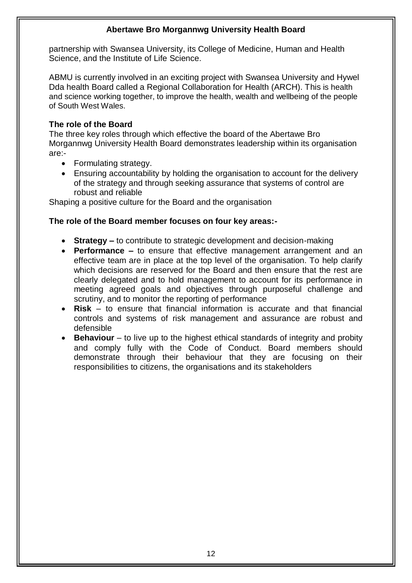partnership with Swansea University, its College of Medicine, Human and Health Science, and the Institute of Life Science.

ABMU is currently involved in an exciting project with Swansea University and Hywel Dda health Board called a Regional Collaboration for Health (ARCH). This is health and science working together, to improve the health, wealth and wellbeing of the people of South West Wales.

## **The role of the Board**

The three key roles through which effective the board of the Abertawe Bro Morgannwg University Health Board demonstrates leadership within its organisation are:-

- Formulating strategy.
- Ensuring accountability by holding the organisation to account for the delivery of the strategy and through seeking assurance that systems of control are robust and reliable

Shaping a positive culture for the Board and the organisation

### **The role of the Board member focuses on four key areas:-**

- **Strategy –** to contribute to strategic development and decision-making
- **Performance –** to ensure that effective management arrangement and an effective team are in place at the top level of the organisation. To help clarify which decisions are reserved for the Board and then ensure that the rest are clearly delegated and to hold management to account for its performance in meeting agreed goals and objectives through purposeful challenge and scrutiny, and to monitor the reporting of performance
- **Risk** to ensure that financial information is accurate and that financial controls and systems of risk management and assurance are robust and defensible
- **Behaviour** to live up to the highest ethical standards of integrity and probity and comply fully with the Code of Conduct. Board members should demonstrate through their behaviour that they are focusing on their responsibilities to citizens, the organisations and its stakeholders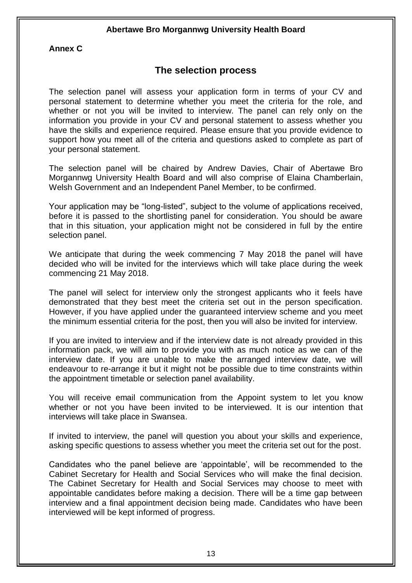## **Annex C**

## **The selection process**

The selection panel will assess your application form in terms of your CV and personal statement to determine whether you meet the criteria for the role, and whether or not you will be invited to interview. The panel can rely only on the information you provide in your CV and personal statement to assess whether you have the skills and experience required. Please ensure that you provide evidence to support how you meet all of the criteria and questions asked to complete as part of your personal statement.

The selection panel will be chaired by Andrew Davies, Chair of Abertawe Bro Morgannwg University Health Board and will also comprise of Elaina Chamberlain, Welsh Government and an Independent Panel Member, to be confirmed.

Your application may be "long-listed", subject to the volume of applications received, before it is passed to the shortlisting panel for consideration. You should be aware that in this situation, your application might not be considered in full by the entire selection panel.

We anticipate that during the week commencing 7 May 2018 the panel will have decided who will be invited for the interviews which will take place during the week commencing 21 May 2018.

The panel will select for interview only the strongest applicants who it feels have demonstrated that they best meet the criteria set out in the person specification. However, if you have applied under the guaranteed interview scheme and you meet the minimum essential criteria for the post, then you will also be invited for interview.

If you are invited to interview and if the interview date is not already provided in this information pack, we will aim to provide you with as much notice as we can of the interview date. If you are unable to make the arranged interview date, we will endeavour to re-arrange it but it might not be possible due to time constraints within the appointment timetable or selection panel availability.

You will receive email communication from the Appoint system to let you know whether or not you have been invited to be interviewed. It is our intention that interviews will take place in Swansea.

If invited to interview, the panel will question you about your skills and experience, asking specific questions to assess whether you meet the criteria set out for the post.

Candidates who the panel believe are 'appointable', will be recommended to the Cabinet Secretary for Health and Social Services who will make the final decision. The Cabinet Secretary for Health and Social Services may choose to meet with appointable candidates before making a decision. There will be a time gap between interview and a final appointment decision being made. Candidates who have been interviewed will be kept informed of progress.